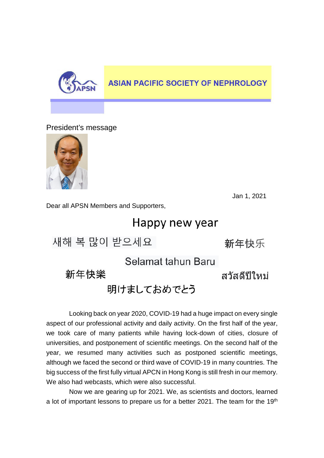

### **ASIAN PACIFIC SOCIETY OF NEPHROLOGY**

President's message



Jan 1, 2021

Dear all APSN Members and Supporters,

## Happy new year

# 새해 복 많이 받으세요

新年快乐

#### Selamat tahun Baru

新年快樂

สวัสดีปีใหม่

### 明けましておめでとう

Looking back on year 2020, COVID-19 had a huge impact on every single aspect of our professional activity and daily activity. On the first half of the year, we took care of many patients while having lock-down of cities, closure of universities, and postponement of scientific meetings. On the second half of the year, we resumed many activities such as postponed scientific meetings, although we faced the second or third wave of COVID-19 in many countries. The big success of the first fully virtual APCN in Hong Kong is still fresh in our memory. We also had webcasts, which were also successful.

Now we are gearing up for 2021. We, as scientists and doctors, learned a lot of important lessons to prepare us for a better 2021. The team for the 19<sup>th</sup>